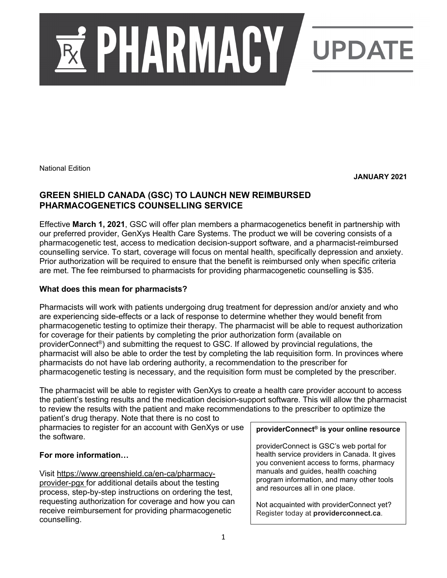

National Edition

**JANUARY 2021**

## **GREEN SHIELD CANADA (GSC) TO LAUNCH NEW REIMBURSED PHARMACOGENETICS COUNSELLING SERVICE**

Effective **March 1, 2021**, GSC will offer plan members a pharmacogenetics benefit in partnership with our preferred provider, GenXys Health Care Systems. The product we will be covering consists of a pharmacogenetic test, access to medication decision-support software, and a pharmacist-reimbursed counselling service. To start, coverage will focus on mental health, specifically depression and anxiety. Prior authorization will be required to ensure that the benefit is reimbursed only when specific criteria are met. The fee reimbursed to pharmacists for providing pharmacogenetic counselling is \$35.

## **What does this mean for pharmacists?**

Pharmacists will work with patients undergoing drug treatment for depression and/or anxiety and who are experiencing side-effects or a lack of response to determine whether they would benefit from pharmacogenetic testing to optimize their therapy. The pharmacist will be able to request authorization for coverage for their patients by completing the prior authorization form (available on providerConnect®) and submitting the request to GSC. If allowed by provincial regulations, the pharmacist will also be able to order the test by completing the lab requisition form. In provinces where pharmacists do not have lab ordering authority, a recommendation to the prescriber for pharmacogenetic testing is necessary, and the requisition form must be completed by the prescriber.

The pharmacist will be able to register with GenXys to create a health care provider account to access the patient's testing results and the medication decision-support software. This will allow the pharmacist to review the results with the patient and make recommendations to the prescriber to optimize the patient's drug therapy. Note that there is no cost to

pharmacies to register for an account with GenXys or use the software.

### **For more information…**

Visit [https://www.greenshield.ca/en-ca/pharmacy](https://www.greenshield.ca/en-ca/pharmacy-provider-pgx)[provider-pgx](https://www.greenshield.ca/en-ca/pharmacy-provider-pgx) for additional details about the testing process, step-by-step instructions on ordering the test, requesting authorization for coverage and how you can receive reimbursement for providing pharmacogenetic counselling.

### **providerConnect® is your online resource**

providerConnect is GSC's web portal for health service providers in Canada. It gives you convenient access to forms, pharmacy manuals and guides, health coaching program information, and many other tools and resources all in one place.

Not acquainted with providerConnect yet? Register today at **providerconnect.ca**.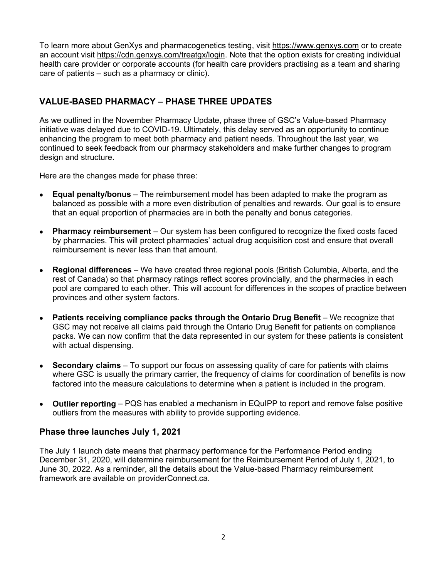To learn more about GenXys and pharmacogenetics testing, visit [https://www.genxys.com](https://www.genxys.com/content/) or to create an account visit [https://cdn.genxys.com/treatgx/login.](https://cdn.genxys.com/treatgx/login) Note that the option exists for creating individual health care provider or corporate accounts (for health care providers practising as a team and sharing care of patients – such as a pharmacy or clinic).

# **VALUE-BASED PHARMACY – PHASE THREE UPDATES**

As we outlined in the November Pharmacy Update, phase three of GSC's Value-based Pharmacy initiative was delayed due to COVID-19. Ultimately, this delay served as an opportunity to continue enhancing the program to meet both pharmacy and patient needs. Throughout the last year, we continued to seek feedback from our pharmacy stakeholders and make further changes to program design and structure.

Here are the changes made for phase three:

- **Equal penalty/bonus**  The reimbursement model has been adapted to make the program as balanced as possible with a more even distribution of penalties and rewards. Our goal is to ensure that an equal proportion of pharmacies are in both the penalty and bonus categories.
- **Pharmacy reimbursement**  Our system has been configured to recognize the fixed costs faced by pharmacies. This will protect pharmacies' actual drug acquisition cost and ensure that overall reimbursement is never less than that amount.
- **Regional differences** We have created three regional pools (British Columbia, Alberta, and the rest of Canada) so that pharmacy ratings reflect scores provincially, and the pharmacies in each pool are compared to each other. This will account for differences in the scopes of practice between provinces and other system factors.
- **Patients receiving compliance packs through the Ontario Drug Benefit** We recognize that GSC may not receive all claims paid through the Ontario Drug Benefit for patients on compliance packs. We can now confirm that the data represented in our system for these patients is consistent with actual dispensing.
- **Secondary claims**  To support our focus on assessing quality of care for patients with claims where GSC is usually the primary carrier, the frequency of claims for coordination of benefits is now factored into the measure calculations to determine when a patient is included in the program.
- **Outlier reporting**  PQS has enabled a mechanism in EQuIPP to report and remove false positive outliers from the measures with ability to provide supporting evidence.

#### **Phase three launches July 1, 2021**

The July 1 launch date means that pharmacy performance for the Performance Period ending December 31, 2020, will determine reimbursement for the Reimbursement Period of July 1, 2021, to June 30, 2022. As a reminder, all the details about the Value-based Pharmacy reimbursement framework are available on providerConnect.ca.